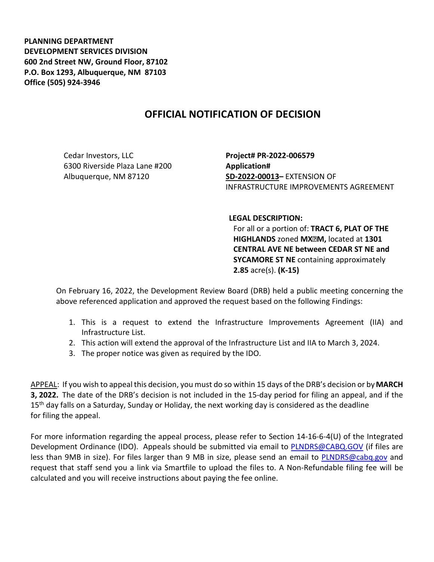**PLANNING DEPARTMENT DEVELOPMENT SERVICES DIVISION 600 2nd Street NW, Ground Floor, 87102 P.O. Box 1293, Albuquerque, NM 87103 Office (505) 924-3946** 

## **OFFICIAL NOTIFICATION OF DECISION**

Cedar Investors, LLC 6300 Riverside Plaza Lane #200 Albuquerque, NM 87120

**Project# PR-2022-006579 Application# SD-2022-00013–** EXTENSION OF INFRASTRUCTURE IMPROVEMENTS AGREEMENT

## **LEGAL DESCRIPTION:**

For all or a portion of: **TRACT 6, PLAT OF THE HIGHLANDS** zoned **MX-M,** located at **1301 CENTRAL AVE NE between CEDAR ST NE and SYCAMORE ST NE** containing approximately **2.85** acre(s). **(K-15)**

On February 16, 2022, the Development Review Board (DRB) held a public meeting concerning the above referenced application and approved the request based on the following Findings:

- 1. This is a request to extend the Infrastructure Improvements Agreement (IIA) and Infrastructure List.
- 2. This action will extend the approval of the Infrastructure List and IIA to March 3, 2024.
- 3. The proper notice was given as required by the IDO.

APPEAL: If you wish to appeal this decision, you must do so within 15 days of the DRB's decision or by**MARCH 3, 2022.** The date of the DRB's decision is not included in the 15-day period for filing an appeal, and if the 15<sup>th</sup> day falls on a Saturday, Sunday or Holiday, the next working day is considered as the deadline for filing the appeal.

For more information regarding the appeal process, please refer to Section 14-16-6-4(U) of the Integrated Development Ordinance (IDO). Appeals should be submitted via email to [PLNDRS@CABQ.GOV](mailto:PLNDRS@CABQ.GOV) (if files are less than 9MB in size). For files larger than 9 MB in size, please send an email to [PLNDRS@cabq.gov](mailto:PLNDRS@cabq.gov) and request that staff send you a link via Smartfile to upload the files to. A Non-Refundable filing fee will be calculated and you will receive instructions about paying the fee online.